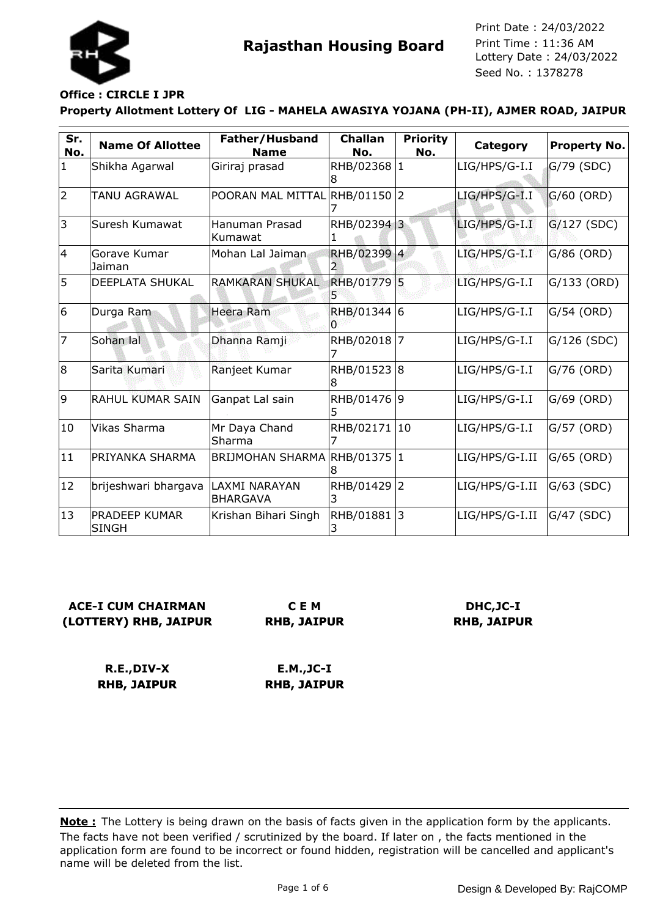

## **Office : CIRCLE I JPR**

## **Property Allotment Lottery Of LIG - MAHELA AWASIYA YOJANA (PH-II), AJMER ROAD, JAIPUR**

| Sr.<br>No.   | <b>Name Of Allottee</b>       | Father/Husband<br><b>Name</b>     | <b>Challan</b><br>No. | <b>Priority</b><br>No. | <b>Category</b> | Property No.  |
|--------------|-------------------------------|-----------------------------------|-----------------------|------------------------|-----------------|---------------|
| $\mathbf{1}$ | Shikha Agarwal                | Giriraj prasad                    | RHB/02368 1<br>8      |                        | LIG/HPS/G-I.I   | G/79 (SDC)    |
| 2            | TANU AGRAWAL                  | POORAN MAL MITTAL RHB/01150 2     |                       |                        | $LIG/HPS/G-I.I$ | $G/60$ (ORD)  |
| 3            | Suresh Kumawat                | Hanuman Prasad<br>Kumawat         | RHB/02394 3           |                        | $LIG/HPS/G-I.I$ | $G/127$ (SDC) |
| 14           | Gorave Kumar<br>Jaiman        | Mohan Lal Jaiman                  | RHB/02399 4           |                        | LIG/HPS/G-I.I   | $G/86$ (ORD)  |
| 5            | <b>DEEPLATA SHUKAL</b>        | <b>RAMKARAN SHUKAL</b>            | RHB/01779 5           |                        | LIG/HPS/G-I.I   | G/133 (ORD)   |
| 6            | Durga Ram                     | <b>Heera Ram</b>                  | RHB/01344 6<br>o      |                        | LIG/HPS/G-I.I   | G/54 (ORD)    |
| 17           | Sohan lal                     | Dhanna Ramji                      | RHB/02018 7           |                        | LIG/HPS/G-I.I   | G/126 (SDC)   |
| 8            | Sarita Kumari                 | Ranjeet Kumar                     | RHB/01523 8<br>18     |                        | LIG/HPS/G-I.I   | G/76 (ORD)    |
| 9            | <b>RAHUL KUMAR SAIN</b>       | Ganpat Lal sain                   | RHB/01476 9<br>5      |                        | LIG/HPS/G-I.I   | G/69 (ORD)    |
| 10           | Vikas Sharma                  | Mr Daya Chand<br>Sharma           | RHB/02171 10          |                        | LIG/HPS/G-I.I   | G/57 (ORD)    |
| $ 11\rangle$ | PRIYANKA SHARMA               | <b>BRIJMOHAN SHARMA</b>           | RHB/01375 1           |                        | LIG/HPS/G-I.II  | G/65 (ORD)    |
| 12           | brijeshwari bhargava          | ILAXMI NARAYAN<br><b>BHARGAVA</b> | RHB/01429 2<br>3      |                        | LIG/HPS/G-I.II  | G/63 (SDC)    |
| 13           | PRADEEP KUMAR<br><b>SINGH</b> | Krishan Bihari Singh              | RHB/01881  3          |                        | LIG/HPS/G-I.II  | G/47 (SDC)    |

## **ACE-I CUM CHAIRMAN (LOTTERY) RHB, JAIPUR**

**C E M RHB, JAIPUR**

## **DHC,JC-I RHB, JAIPUR**

**R.E.,DIV-X RHB, JAIPUR**

**E.M.,JC-I RHB, JAIPUR**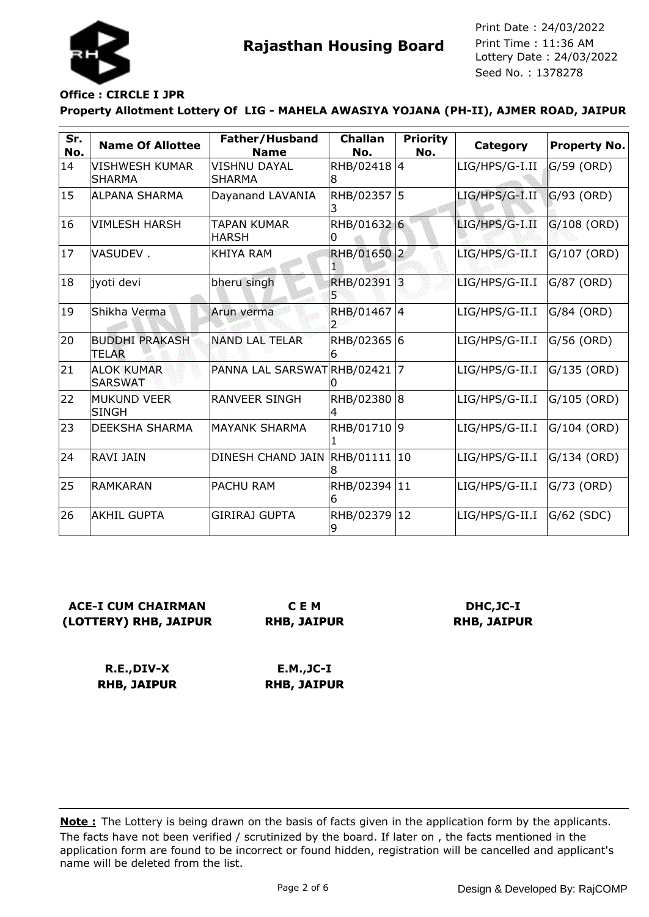

## **Office : CIRCLE I JPR**

#### **Property Allotment Lottery Of LIG - MAHELA AWASIYA YOJANA (PH-II), AJMER ROAD, JAIPUR**

| Sr.<br>No. | <b>Name Of Allottee</b>               | Father/Husband<br><b>Name</b>        | <b>Challan</b><br>No. | <b>Priority</b><br>No. | Category         | <b>Property No.</b> |
|------------|---------------------------------------|--------------------------------------|-----------------------|------------------------|------------------|---------------------|
| 14         | VISHWESH KUMAR<br><b>SHARMA</b>       | <b>VISHNU DAYAL</b><br><b>SHARMA</b> | RHB/02418 4<br>8      |                        | LIG/HPS/G-I.II   | G/59 (ORD)          |
| 15         | <b>ALPANA SHARMA</b>                  | Dayanand LAVANIA                     | RHB/02357<br>3        | 5                      | LIG/HPS/G-I.II   | $G/93$ (ORD)        |
| 16         | <b>VIMLESH HARSH</b>                  | TAPAN KUMAR<br><b>HARSH</b>          | RHB/01632 6           |                        | LIG/HPS/G-I.II   | $G/108$ (ORD)       |
| 17         | VASUDEV.                              | KHIYA RAM                            | <b>RHB/01650</b>      | 2                      | $LIG/HPS/G-II.I$ | G/107 (ORD)         |
| 18         | iyoti devi                            | bheru singh                          | RHB/02391             | 3                      | LIG/HPS/G-II.I   | G/87 (ORD)          |
| 19         | Shikha Verma                          | Arun verma                           | RHB/01467             | 4                      | LIG/HPS/G-II.I   | G/84 (ORD)          |
| 20         | <b>BUDDHI PRAKASH</b><br><b>TELAR</b> | <b>NAND LAL TELAR</b>                | RHB/02365 6<br>ხ      |                        | LIG/HPS/G-II.I   | G/56 (ORD)          |
| 21         | <b>ALOK KUMAR</b><br><b>SARSWAT</b>   | PANNA LAL SARSWATRHB/02421           |                       | $\overline{7}$         | LIG/HPS/G-II.I   | $G/135$ (ORD)       |
| 22         | <b>MUKUND VEER</b><br><b>SINGH</b>    | <b>RANVEER SINGH</b>                 | RHB/02380             | 8                      | LIG/HPS/G-II.I   | G/105 (ORD)         |
| 23         | DEEKSHA SHARMA                        | <b>MAYANK SHARMA</b>                 | RHB/01710 9           |                        | LIG/HPS/G-II.I   | G/104 (ORD)         |
| 24         | <b>RAVI JAIN</b>                      | DINESH CHAND JAIN                    | RHB/01111             | 10                     | LIG/HPS/G-II.I   | $G/134$ (ORD)       |
| 25         | <b>RAMKARAN</b>                       | <b>PACHU RAM</b>                     | RHB/02394<br>6        | 11                     | LIG/HPS/G-II.I   | G/73 (ORD)          |
| 26         | <b>AKHIL GUPTA</b>                    | <b>GIRIRAJ GUPTA</b>                 | RHB/02379<br>9        | 12                     | LIG/HPS/G-II.I   | G/62 (SDC)          |

## **ACE-I CUM CHAIRMAN (LOTTERY) RHB, JAIPUR**

**C E M RHB, JAIPUR**

## **DHC,JC-I RHB, JAIPUR**

**R.E.,DIV-X RHB, JAIPUR**

**E.M.,JC-I RHB, JAIPUR**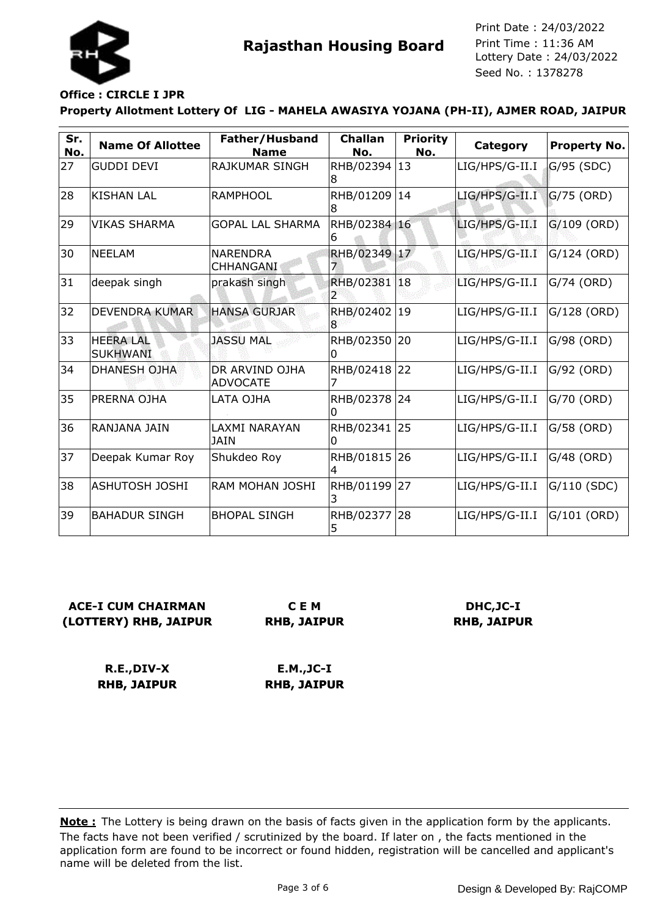

## **Office : CIRCLE I JPR**

**Property Allotment Lottery Of LIG - MAHELA AWASIYA YOJANA (PH-II), AJMER ROAD, JAIPUR**

| Sr.<br>No. | <b>Name Of Allottee</b>             | Father/Husband<br><b>Name</b>     | <b>Challan</b><br>No. | <b>Priority</b><br>No. | <b>Category</b> | Property No.  |
|------------|-------------------------------------|-----------------------------------|-----------------------|------------------------|-----------------|---------------|
| 27         | <b>GUDDI DEVI</b>                   | <b>RAJKUMAR SINGH</b>             | RHB/02394 13<br>8     |                        | LIG/HPS/G-II.I  | G/95 (SDC)    |
| 28         | KISHAN LAL                          | IRAMPHOOL                         | RHB/01209<br>18       | 14                     | LIG/HPS/G-II.I  | $G/75$ (ORD)  |
| 29         | <b>VIKAS SHARMA</b>                 | <b>GOPAL LAL SHARMA</b>           | RHB/02384 16<br>b     |                        | LIG/HPS/G-II.I  | G/109 (ORD)   |
| 30         | <b>NEELAM</b>                       | <b>NARENDRA</b><br>CHHANGANI      | RHB/02349 17          |                        | LIG/HPS/G-II.I  | $G/124$ (ORD) |
| 31         | deepak singh                        | prakash singh                     | RHB/02381 18          |                        | LIG/HPS/G-II.I  | G/74 (ORD)    |
| 32         | <b>DEVENDRA KUMAR</b>               | <b>HANSA GURJAR</b>               | RHB/02402<br>18       | $ 19\rangle$           | LIG/HPS/G-II.I  | G/128 (ORD)   |
| 33         | <b>HEERA LAL</b><br><b>SUKHWANI</b> | <b>JASSU MAL</b>                  | RHB/02350 20<br>0     |                        | LIG/HPS/G-II.I  | G/98 (ORD)    |
| 34         | <b>DHANESH OJHA</b>                 | DR ARVIND OJHA<br><b>ADVOCATE</b> | RHB/02418             | 22                     | LIG/HPS/G-II.I  | G/92 (ORD)    |
| 35         | PRERNA OJHA                         | LATA OJHA                         | RHB/02378 24<br>0     |                        | LIG/HPS/G-II.I  | G/70 (ORD)    |
| 36         | RANJANA JAIN                        | LAXMI NARAYAN<br>JAIN             | RHB/02341 25<br>0     |                        | LIG/HPS/G-II.I  | G/58 (ORD)    |
| 37         | Deepak Kumar Roy                    | Shukdeo Roy                       | RHB/01815 26          |                        | LIG/HPS/G-II.I  | G/48 (ORD)    |
| 38         | <b>ASHUTOSH JOSHI</b>               | IRAM MOHAN JOSHI                  | RHB/01199 27          |                        | LIG/HPS/G-II.I  | $G/110$ (SDC) |
| 39         | <b>BAHADUR SINGH</b>                | <b>BHOPAL SINGH</b>               | RHB/02377<br>5        | 28                     | LIG/HPS/G-II.I  | G/101 (ORD)   |

# **ACE-I CUM CHAIRMAN (LOTTERY) RHB, JAIPUR**

**C E M RHB, JAIPUR**

## **DHC,JC-I RHB, JAIPUR**

**R.E.,DIV-X RHB, JAIPUR**

**E.M.,JC-I RHB, JAIPUR**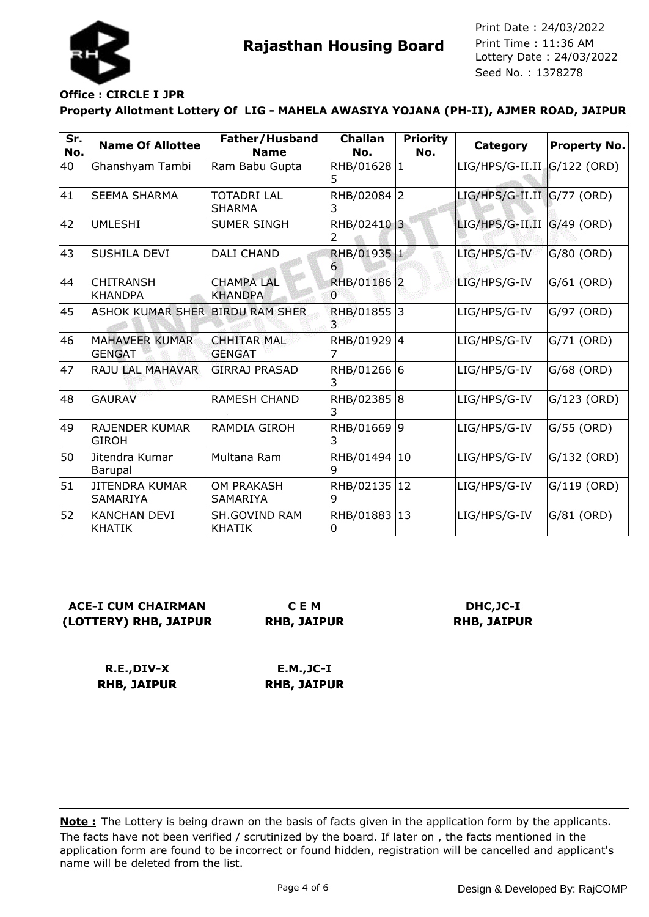

## **Office : CIRCLE I JPR**

## **Property Allotment Lottery Of LIG - MAHELA AWASIYA YOJANA (PH-II), AJMER ROAD, JAIPUR**

| Sr.<br>No. | <b>Name Of Allottee</b>                | Father/Husband<br><b>Name</b>         | <b>Challan</b><br>No. | <b>Priority</b><br>No. | Category                        | <b>Property No.</b> |
|------------|----------------------------------------|---------------------------------------|-----------------------|------------------------|---------------------------------|---------------------|
| 40         | Ghanshyam Tambi                        | Ram Babu Gupta                        | RHB/01628 1<br>5      |                        | $LIG/HPS/G-II.II$ $G/122$ (ORD) |                     |
| 41         | <b>SEEMA SHARMA</b>                    | <b>TOTADRI LAL</b><br><b>SHARMA</b>   | RHB/02084 2<br>3      |                        | $LIG/HPS/G-II.II   G/77 (ORD)$  |                     |
| 42         | <b>UMLESHI</b>                         | <b>SUMER SINGH</b>                    | RHB/02410 3           |                        | $LIG/HPS/G-II.II   G/49 (ORD)$  |                     |
| 43         | <b>SUSHILA DEVI</b>                    | <b>DALI CHAND</b>                     | RHB/01935 1<br>6      |                        | LIG/HPS/G-IV                    | $G/80$ (ORD)        |
| 44         | <b>CHITRANSH</b><br><b>KHANDPA</b>     | <b>CHAMPA LAL</b><br><b>KHANDPA</b>   | RHB/01186 2<br>IО     |                        | LIG/HPS/G-IV                    | $G/61$ (ORD)        |
| 45         | ASHOK KUMAR SHER BIRDU RAM SHER        |                                       | RHB/01855             | l3                     | LIG/HPS/G-IV                    | G/97 (ORD)          |
| 46         | <b>MAHAVEER KUMAR</b><br><b>GENGAT</b> | <b>CHHITAR MAL</b><br><b>GENGAT</b>   | RHB/01929 4           |                        | LIG/HPS/G-IV                    | G/71 (ORD)          |
| 47         | RAJU LAL MAHAVAR                       | <b>GIRRAJ PRASAD</b>                  | RHB/01266 6<br>3      |                        | LIG/HPS/G-IV                    | $G/68$ (ORD)        |
| 48         | <b>GAURAV</b>                          | <b>RAMESH CHAND</b>                   | RHB/02385 8<br>3      |                        | LIG/HPS/G-IV                    | $G/123$ (ORD)       |
| 49         | <b>RAJENDER KUMAR</b><br><b>GIROH</b>  | RAMDIA GIROH                          | RHB/01669 9<br>3      |                        | LIG/HPS/G-IV                    | G/55 (ORD)          |
| 50         | Jitendra Kumar<br>Barupal              | Multana Ram                           | RHB/01494 10<br>9     |                        | LIG/HPS/G-IV                    | $G/132$ (ORD)       |
| 51         | JITENDRA KUMAR<br>SAMARIYA             | <b>OM PRAKASH</b><br><b>SAMARIYA</b>  | RHB/02135<br>9        | $ 12\rangle$           | LIG/HPS/G-IV                    | $G/119$ (ORD)       |
| 52         | <b>KANCHAN DEVI</b><br><b>KHATIK</b>   | <b>SH.GOVIND RAM</b><br><b>KHATIK</b> | RHB/01883 13<br>0     |                        | LIG/HPS/G-IV                    | $G/81$ (ORD)        |

## **ACE-I CUM CHAIRMAN (LOTTERY) RHB, JAIPUR**

**C E M RHB, JAIPUR**

## **DHC,JC-I RHB, JAIPUR**

**R.E.,DIV-X RHB, JAIPUR**

**E.M.,JC-I RHB, JAIPUR**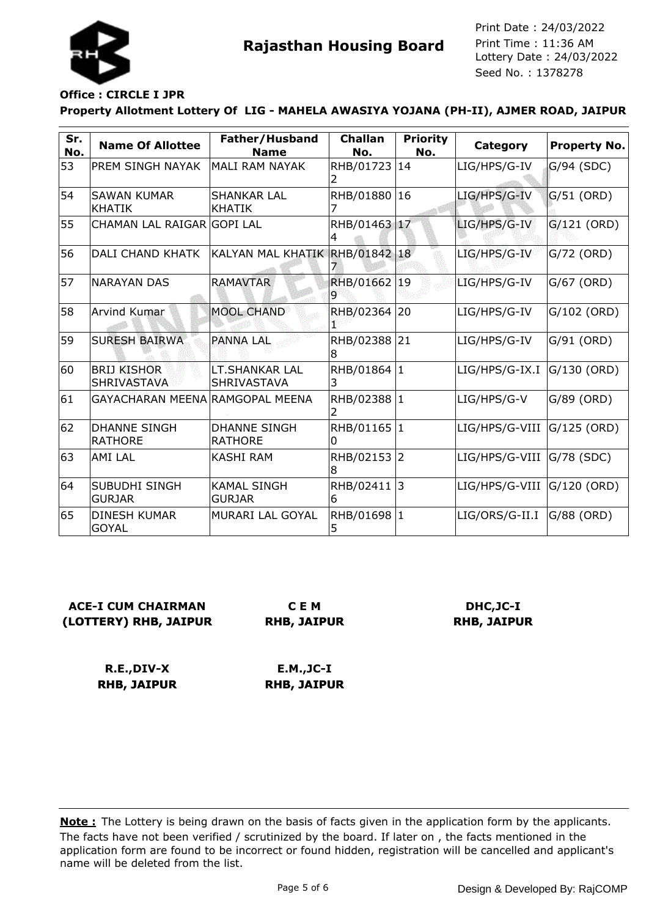

## **Office : CIRCLE I JPR**

#### **Property Allotment Lottery Of LIG - MAHELA AWASIYA YOJANA (PH-II), AJMER ROAD, JAIPUR**

| Sr.<br>No. | <b>Name Of Allottee</b>                  | Father/Husband<br><b>Name</b>               | <b>Challan</b><br>No. | <b>Priority</b><br>No. | <b>Category</b>                 | <b>Property No.</b> |
|------------|------------------------------------------|---------------------------------------------|-----------------------|------------------------|---------------------------------|---------------------|
| 53         | PREM SINGH NAYAK                         | MALI RAM NAYAK                              | RHB/01723 14          |                        | LIG/HPS/G-IV                    | G/94 (SDC)          |
| 54         | <b>SAWAN KUMAR</b><br><b>KHATIK</b>      | <b>SHANKAR LAL</b><br><b>KHATIK</b>         | RHB/01880             | 16                     | LIG/HPS/G-IV                    | $G/51$ (ORD)        |
| 55         | CHAMAN LAL RAIGAR GOPI LAL               |                                             | RHB/01463 17          |                        | LIG/HPS/G-IV                    | $G/121$ (ORD)       |
| 56         | DALI CHAND KHATK                         | KALYAN MAL KHATIK RHB/01842 18              |                       |                        | LIG/HPS/G-IV                    | $G/72$ (ORD)        |
| 57         | <b>NARAYAN DAS</b>                       | <b>RAMAVTAR</b>                             | RHB/01662 19<br>9     |                        | LIG/HPS/G-IV                    | G/67 (ORD)          |
| 58         | Arvind Kumar                             | <b>MOOL CHAND</b>                           | RHB/02364             | 20                     | LIG/HPS/G-IV                    | G/102 (ORD)         |
| 59         | <b>SURESH BAIRWA</b>                     | <b>PANNA LAL</b>                            | RHB/02388 21<br>18    |                        | LIG/HPS/G-IV                    | G/91 (ORD)          |
| 60         | <b>BRIJ KISHOR</b><br><b>SHRIVASTAVA</b> | <b>LT.SHANKAR LAL</b><br><b>SHRIVASTAVA</b> | RHB/01864 1<br>3      |                        | LIG/HPS/G-IX.I                  | G/130 (ORD)         |
| 61         | GAYACHARAN MEENA RAMGOPAL MEENA          |                                             | RHB/02388 1           |                        | LIG/HPS/G-V                     | G/89 (ORD)          |
| 62         | <b>DHANNE SINGH</b><br><b>RATHORE</b>    | <b>DHANNE SINGH</b><br><b>RATHORE</b>       | RHB/01165 1<br>0      |                        | $LIG/HPS/G-VIII$ $ G/125$ (ORD) |                     |
| 63         | <b>AMI LAL</b>                           | <b>KASHI RAM</b>                            | RHB/02153 2<br>18     |                        | LIG/HPS/G-VIII                  | G/78 (SDC)          |
| 64         | ISUBUDHI SINGH<br><b>GURJAR</b>          | <b>KAMAL SINGH</b><br><b>GURJAR</b>         | RHB/02411 3<br>16     |                        | $LIG/HPS/G-VIII$ $ G/120$ (ORD) |                     |
| 65         | <b>DINESH KUMAR</b><br><b>GOYAL</b>      | <b>MURARI LAL GOYAL</b>                     | RHB/01698 1<br>5      |                        | LIG/ORS/G-II.I                  | $G/88$ (ORD)        |

## **ACE-I CUM CHAIRMAN (LOTTERY) RHB, JAIPUR**

**C E M RHB, JAIPUR**

## **DHC,JC-I RHB, JAIPUR**

**R.E.,DIV-X RHB, JAIPUR**

**E.M.,JC-I RHB, JAIPUR**